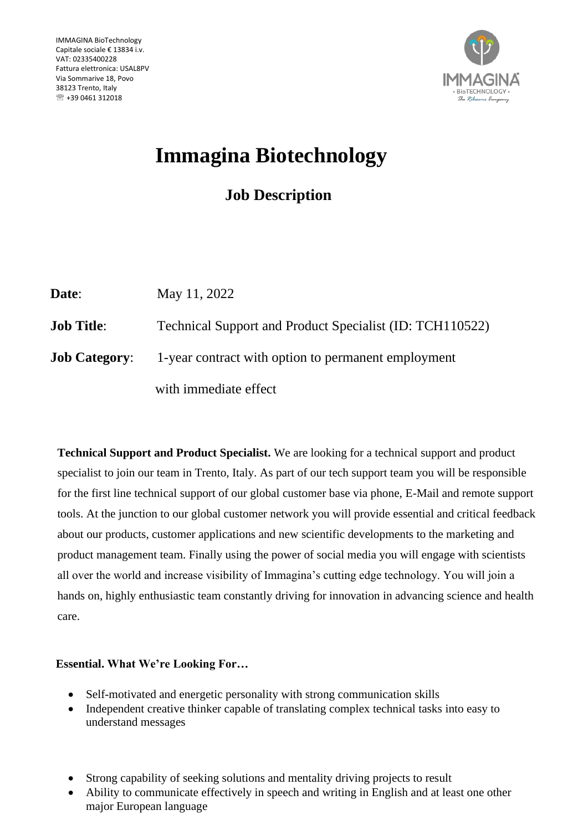

# **Immagina Biotechnology**

# **Job Description**

| Date:                | May 11, 2022                                             |
|----------------------|----------------------------------------------------------|
| <b>Job Title:</b>    | Technical Support and Product Specialist (ID: TCH110522) |
| <b>Job Category:</b> | 1-year contract with option to permanent employment      |
|                      | with immediate effect                                    |

**Technical Support and Product Specialist.** We are looking for a technical support and product specialist to join our team in Trento, Italy. As part of our tech support team you will be responsible for the first line technical support of our global customer base via phone, E-Mail and remote support tools. At the junction to our global customer network you will provide essential and critical feedback about our products, customer applications and new scientific developments to the marketing and product management team. Finally using the power of social media you will engage with scientists all over the world and increase visibility of Immagina's cutting edge technology. You will join a hands on, highly enthusiastic team constantly driving for innovation in advancing science and health care.

## **Essential. What We're Looking For…**

- Self-motivated and energetic personality with strong communication skills
- Independent creative thinker capable of translating complex technical tasks into easy to understand messages
- Strong capability of seeking solutions and mentality driving projects to result
- Ability to communicate effectively in speech and writing in English and at least one other major European language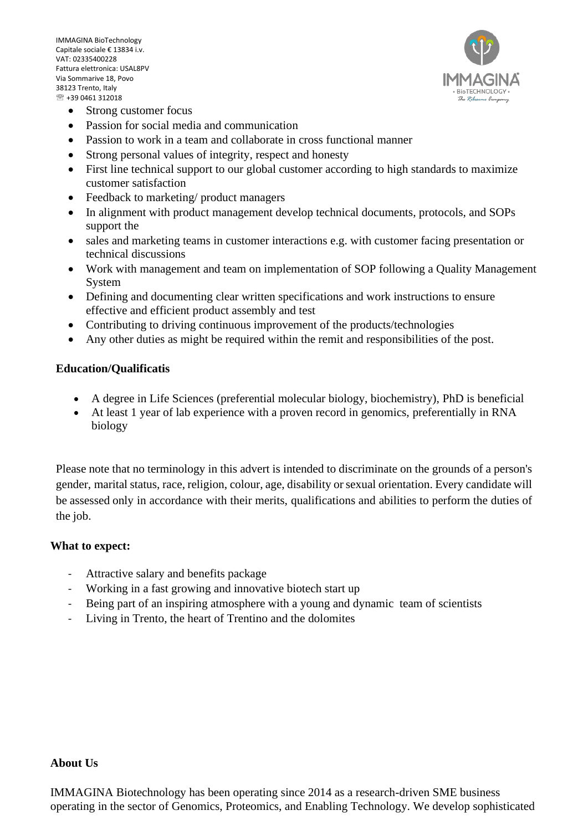IMMAGINA BioTechnology Capitale sociale € 13834 i.v. VAT: 02335400228 Fattura elettronica: USAL8PV Via Sommarive 18, Povo 38123 Trento, Italy +39 0461 312018



- Strong customer focus
- Passion for social media and communication
- Passion to work in a team and collaborate in cross functional manner
- Strong personal values of integrity, respect and honesty
- First line technical support to our global customer according to high standards to maximize customer satisfaction
- Feedback to marketing/ product managers
- In alignment with product management develop technical documents, protocols, and SOPs support the
- sales and marketing teams in customer interactions e.g. with customer facing presentation or technical discussions
- Work with management and team on implementation of SOP following a Quality Management System
- Defining and documenting clear written specifications and work instructions to ensure effective and efficient product assembly and test
- Contributing to driving continuous improvement of the products/technologies
- Any other duties as might be required within the remit and responsibilities of the post.

### **Education/Qualificatis**

- A degree in Life Sciences (preferential molecular biology, biochemistry), PhD is beneficial
- At least 1 year of lab experience with a proven record in genomics, preferentially in RNA biology

Please note that no terminology in this advert is intended to discriminate on the grounds of a person's gender, marital status, race, religion, colour, age, disability orsexual orientation. Every candidate will be assessed only in accordance with their merits, qualifications and abilities to perform the duties of the job.

#### **What to expect:**

- Attractive salary and benefits package
- Working in a fast growing and innovative biotech start up
- Being part of an inspiring atmosphere with a young and dynamic team of scientists
- Living in Trento, the heart of Trentino and the dolomites

#### **About Us**